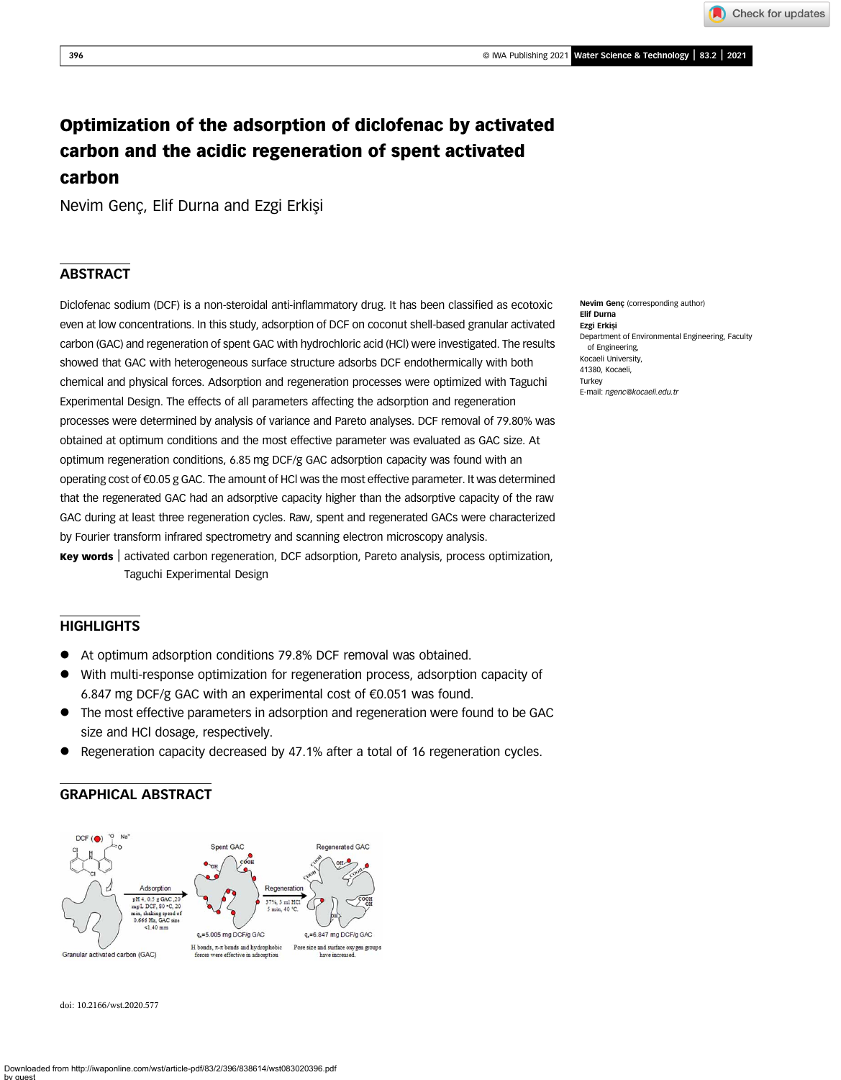Check for updates

# Optimization of the adsorption of diclofenac by activated carbon and the acidic regeneration of spent activated carbon

Nevim Genç, Elif Durna and Ezgi Erkişi

## **ABSTRACT**

Diclofenac sodium (DCF) is a non-steroidal anti-inflammatory drug. It has been classified as ecotoxic even at low concentrations. In this study, adsorption of DCF on coconut shell-based granular activated carbon (GAC) and regeneration of spent GAC with hydrochloric acid (HCl) were investigated. The results showed that GAC with heterogeneous surface structure adsorbs DCF endothermically with both chemical and physical forces. Adsorption and regeneration processes were optimized with Taguchi Experimental Design. The effects of all parameters affecting the adsorption and regeneration processes were determined by analysis of variance and Pareto analyses. DCF removal of 79.80% was obtained at optimum conditions and the most effective parameter was evaluated as GAC size. At optimum regeneration conditions, 6.85 mg DCF/g GAC adsorption capacity was found with an operating cost of €0.05 g GAC. The amount of HCl was the most effective parameter. It was determined that the regenerated GAC had an adsorptive capacity higher than the adsorptive capacity of the raw GAC during at least three regeneration cycles. Raw, spent and regenerated GACs were characterized by Fourier transform infrared spectrometry and scanning electron microscopy analysis.

Key words | activated carbon regeneration, DCF adsorption, Pareto analysis, process optimization, Taguchi Experimental Design

### **HIGHLIGHTS**

- At optimum adsorption conditions 79.8% DCF removal was obtained.
- With multi-response optimization for regeneration process, adsorption capacity of 6.847 mg DCF/g GAC with an experimental cost of €0.051 was found.
- The most effective parameters in adsorption and regeneration were found to be GAC size and HCl dosage, respectively.
- Regeneration capacity decreased by 47.1% after a total of 16 regeneration cycles.

### GRAPHICAL ABSTRACT



doi: 10.2166/wst.2020.577

Nevim Genç (corresponding author) Elif Durna Ezgi Erkişi Department of Environmental Engineering, Faculty of Engineering, Kocaeli University, 41380, Kocaeli, **Turkey** E-mail: [ngenc@kocaeli.edu.tr](mailto:ngenc@kocaeli.edu.tr)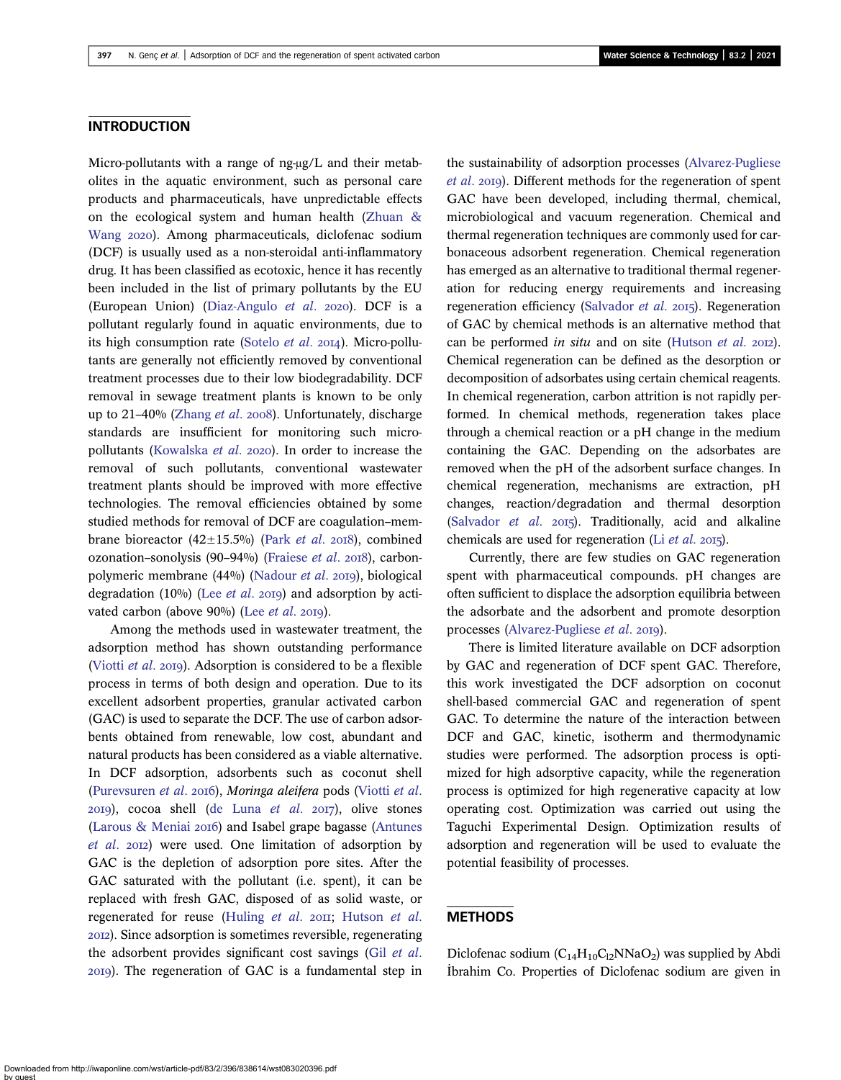### **INTRODUCTION**

Micro-pollutants with a range of ng-μg/L and their metabolites in the aquatic environment, such as personal care products and pharmaceuticals, have unpredictable effects on the ecological system and human health [\(Zhuan &](#page-12-0) [Wang](#page-12-0) 2020). Among pharmaceuticals, diclofenac sodium (DCF) is usually used as a non-steroidal anti-inflammatory drug. It has been classified as ecotoxic, hence it has recently been included in the list of primary pollutants by the EU (European Union) ([Diaz-Angulo](#page-11-0)  $et$  al. 2020). DCF is a pollutant regularly found in aquatic environments, due to its high consumption rate ([Sotelo](#page-12-0)  $et$   $al.$  2014). Micro-pollutants are generally not efficiently removed by conventional treatment processes due to their low biodegradability. DCF removal in sewage treatment plants is known to be only up to 21-40% ([Zhang](#page-12-0) et al. 2008). Unfortunately, discharge standards are insufficient for monitoring such micro-pollutants [\(Kowalska](#page-12-0) et al. 2020). In order to increase the removal of such pollutants, conventional wastewater treatment plants should be improved with more effective technologies. The removal efficiencies obtained by some studied methods for removal of DCF are coagulation–membrane bioreactor (42 $\pm$ 15.5%) ([Park](#page-12-0) et al. 2018), combined ozonation–sonolysis  $(90-94%)$  [\(Fraiese](#page-11-0) et al. 2018), carbonpolymeric membrane  $(44%)$  ([Nadour](#page-12-0) *et al.* 2019), biological degradation (10%) (Lee [et al](#page-12-0). 2019) and adsorption by activated carbon (above  $90\%$ ) (Lee [et al](#page-12-0). 2019).

Among the methods used in wastewater treatment, the adsorption method has shown outstanding performance [\(Viotti](#page-12-0)  $et$   $al.$  2019). Adsorption is considered to be a flexible process in terms of both design and operation. Due to its excellent adsorbent properties, granular activated carbon (GAC) is used to separate the DCF. The use of carbon adsorbents obtained from renewable, low cost, abundant and natural products has been considered as a viable alternative. In DCF adsorption, adsorbents such as coconut shell [\(Purevsuren](#page-12-0) et al. 2016), Moringa aleifera pods ([Viotti](#page-12-0) et al.  $(20I9)$ , cocoa shell ([de Luna](#page-11-0) et al.  $20I7$ ), olive stones (Larous  $\&$  Meniai 2016) and Isabel grape bagasse [\(Antunes](#page-11-0)  $et$   $al.$   $20I2)$  were used. One limitation of adsorption by GAC is the depletion of adsorption pore sites. After the GAC saturated with the pollutant (i.e. spent), it can be replaced with fresh GAC, disposed of as solid waste, or regenerated for reuse ([Huling](#page-11-0) et al. 2011; [Hutson](#page-11-0) et al. ). Since adsorption is sometimes reversible, regenerating the adsorbent provides significant cost savings (Gil [et al](#page-11-0). ). The regeneration of GAC is a fundamental step in the sustainability of adsorption processes [\(Alvarez-Pugliese](#page-11-0) [et al](#page-11-0). 2019). Different methods for the regeneration of spent GAC have been developed, including thermal, chemical, microbiological and vacuum regeneration. Chemical and thermal regeneration techniques are commonly used for carbonaceous adsorbent regeneration. Chemical regeneration has emerged as an alternative to traditional thermal regeneration for reducing energy requirements and increasing regeneration efficiency ([Salvador](#page-12-0) et al. 2015). Regeneration of GAC by chemical methods is an alternative method that can be performed in situ and on site ([Hutson](#page-11-0) et al.  $20I2$ ). Chemical regeneration can be defined as the desorption or decomposition of adsorbates using certain chemical reagents. In chemical regeneration, carbon attrition is not rapidly performed. In chemical methods, regeneration takes place through a chemical reaction or a pH change in the medium containing the GAC. Depending on the adsorbates are removed when the pH of the adsorbent surface changes. In chemical regeneration, mechanisms are extraction, pH changes, reaction/degradation and thermal desorption [\(Salvador](#page-12-0)  $et$  al.  $2015$ ). Traditionally, acid and alkaline chemicals are used for regeneration (Li [et al](#page-12-0). 2015).

Currently, there are few studies on GAC regeneration spent with pharmaceutical compounds. pH changes are often sufficient to displace the adsorption equilibria between the adsorbate and the adsorbent and promote desorption processes ([Alvarez-Pugliese](#page-11-0) et al. 2019).

There is limited literature available on DCF adsorption by GAC and regeneration of DCF spent GAC. Therefore, this work investigated the DCF adsorption on coconut shell-based commercial GAC and regeneration of spent GAC. To determine the nature of the interaction between DCF and GAC, kinetic, isotherm and thermodynamic studies were performed. The adsorption process is optimized for high adsorptive capacity, while the regeneration process is optimized for high regenerative capacity at low operating cost. Optimization was carried out using the Taguchi Experimental Design. Optimization results of adsorption and regeneration will be used to evaluate the potential feasibility of processes.

### **METHODS**

Diclofenac sodium  $(C_{14}H_{10}C_{12}NNaO_2)$  was supplied by Abdi I ˙brahim Co. Properties of Diclofenac sodium are given in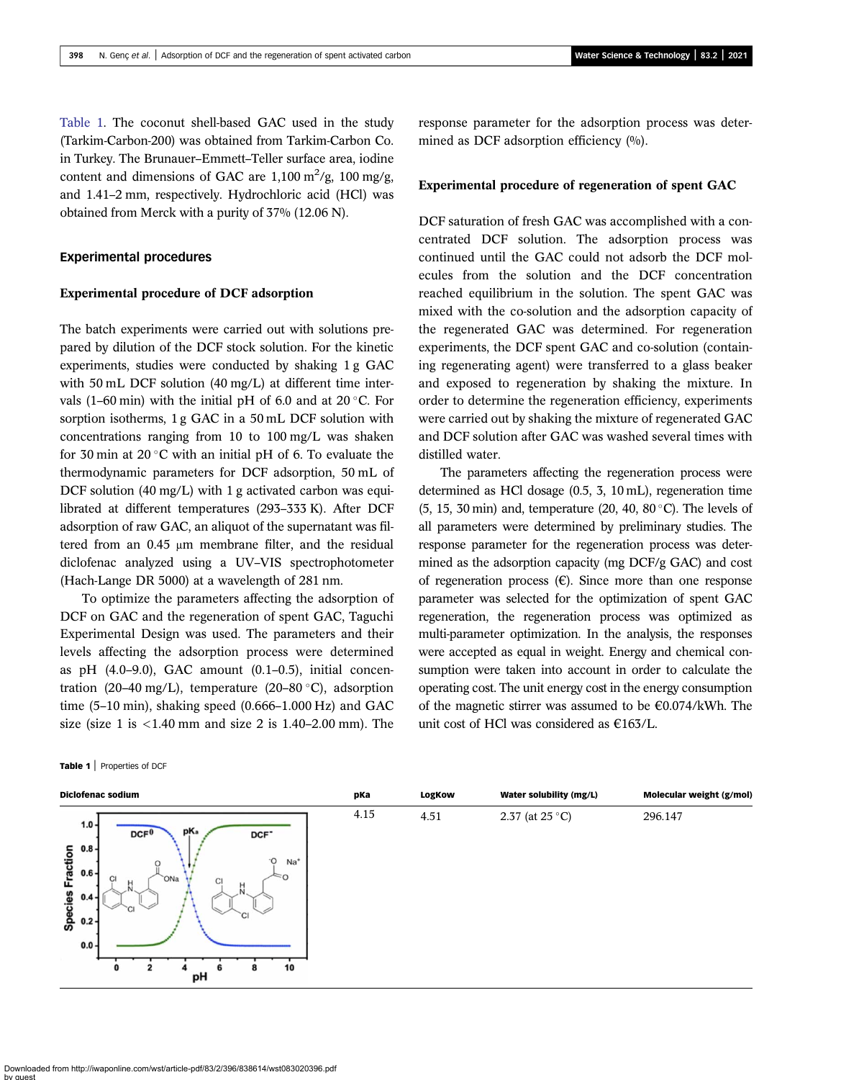Table 1. The coconut shell-based GAC used in the study (Tarkim-Carbon-200) was obtained from Tarkim-Carbon Co. in Turkey. The Brunauer–Emmett–Teller surface area, iodine content and dimensions of GAC are  $1,100 \text{ m}^2/\text{g}$ ,  $100 \text{ mg/g}$ , and 1.41–2 mm, respectively. Hydrochloric acid (HCl) was obtained from Merck with a purity of 37% (12.06 N).

#### Experimental procedures

#### Experimental procedure of DCF adsorption

The batch experiments were carried out with solutions prepared by dilution of the DCF stock solution. For the kinetic experiments, studies were conducted by shaking 1 g GAC with 50 mL DCF solution (40 mg/L) at different time intervals (1–60 min) with the initial pH of 6.0 and at  $20^{\circ}$ C. For sorption isotherms, 1 g GAC in a 50 mL DCF solution with concentrations ranging from 10 to 100 mg/L was shaken for 30 min at 20 $\degree$ C with an initial pH of 6. To evaluate the thermodynamic parameters for DCF adsorption, 50 mL of DCF solution (40 mg/L) with 1 g activated carbon was equilibrated at different temperatures (293–333 K). After DCF adsorption of raw GAC, an aliquot of the supernatant was filtered from an 0.45 μm membrane filter, and the residual diclofenac analyzed using a UV–VIS spectrophotometer (Hach-Lange DR 5000) at a wavelength of 281 nm.

To optimize the parameters affecting the adsorption of DCF on GAC and the regeneration of spent GAC, Taguchi Experimental Design was used. The parameters and their levels affecting the adsorption process were determined as pH  $(4.0-9.0)$ , GAC amount  $(0.1-0.5)$ , initial concentration (20–40 mg/L), temperature (20–80 °C), adsorption time (5–10 min), shaking speed (0.666–1.000 Hz) and GAC size (size 1 is  $<$ 1.40 mm and size 2 is 1.40–2.00 mm). The

Table 1 | Properties of DCF

response parameter for the adsorption process was determined as DCF adsorption efficiency  $(9/0)$ .

#### Experimental procedure of regeneration of spent GAC

DCF saturation of fresh GAC was accomplished with a concentrated DCF solution. The adsorption process was continued until the GAC could not adsorb the DCF molecules from the solution and the DCF concentration reached equilibrium in the solution. The spent GAC was mixed with the co-solution and the adsorption capacity of the regenerated GAC was determined. For regeneration experiments, the DCF spent GAC and co-solution (containing regenerating agent) were transferred to a glass beaker and exposed to regeneration by shaking the mixture. In order to determine the regeneration efficiency, experiments were carried out by shaking the mixture of regenerated GAC and DCF solution after GAC was washed several times with distilled water.

The parameters affecting the regeneration process were determined as HCl dosage (0.5, 3, 10 mL), regeneration time (5, 15, 30 min) and, temperature (20, 40, 80 $\degree$ C). The levels of all parameters were determined by preliminary studies. The response parameter for the regeneration process was determined as the adsorption capacity (mg DCF/g GAC) and cost of regeneration process  $(\epsilon)$ . Since more than one response parameter was selected for the optimization of spent GAC regeneration, the regeneration process was optimized as multi-parameter optimization. In the analysis, the responses were accepted as equal in weight. Energy and chemical consumption were taken into account in order to calculate the operating cost. The unit energy cost in the energy consumption of the magnetic stirrer was assumed to be  $\epsilon$ 0.074/kWh. The unit cost of HCl was considered as €163/L.

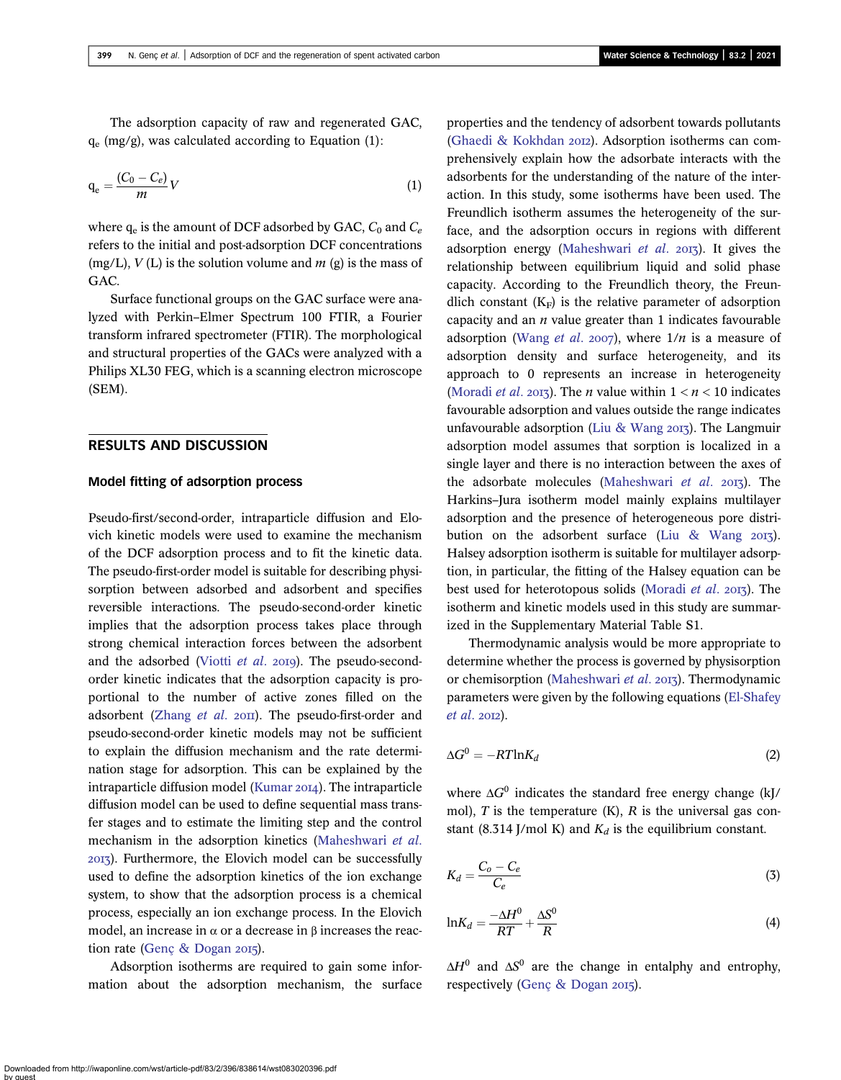The adsorption capacity of raw and regenerated GAC,  $q_e$  (mg/g), was calculated according to Equation (1):

$$
q_e = \frac{(C_0 - C_e)}{m}V\tag{1}
$$

where  $q_e$  is the amount of DCF adsorbed by GAC,  $C_0$  and  $C_e$ refers to the initial and post-adsorption DCF concentrations (mg/L),  $V$  (L) is the solution volume and  $m$  (g) is the mass of GAC.

Surface functional groups on the GAC surface were analyzed with Perkin–Elmer Spectrum 100 FTIR, a Fourier transform infrared spectrometer (FTIR). The morphological and structural properties of the GACs were analyzed with a Philips XL30 FEG, which is a scanning electron microscope (SEM).

### RESULTS AND DISCUSSION

#### Model fitting of adsorption process

Pseudo-first/second-order, intraparticle diffusion and Elovich kinetic models were used to examine the mechanism of the DCF adsorption process and to fit the kinetic data. The pseudo-first-order model is suitable for describing physisorption between adsorbed and adsorbent and specifies reversible interactions. The pseudo-second-order kinetic implies that the adsorption process takes place through strong chemical interaction forces between the adsorbent and the adsorbed ([Viotti](#page-12-0)  $et$   $al.$   $2019$ ). The pseudo-secondorder kinetic indicates that the adsorption capacity is proportional to the number of active zones filled on the adsorbent [\(Zhang](#page-12-0)  $et$   $al.$   $20II$ ). The pseudo-first-order and pseudo-second-order kinetic models may not be sufficient to explain the diffusion mechanism and the rate determination stage for adsorption. This can be explained by the intraparticle diffusion model [\(Kumar](#page-12-0) 2014). The intraparticle diffusion model can be used to define sequential mass transfer stages and to estimate the limiting step and the control mechanism in the adsorption kinetics [\(Maheshwari](#page-12-0) et al. ). Furthermore, the Elovich model can be successfully used to define the adsorption kinetics of the ion exchange system, to show that the adsorption process is a chemical process, especially an ion exchange process. In the Elovich model, an increase in  $\alpha$  or a decrease in β increases the reac-tion rate ([Genç & Dogan](#page-11-0) 2015).

Adsorption isotherms are required to gain some information about the adsorption mechanism, the surface

properties and the tendency of adsorbent towards pollutants [\(Ghaedi & Kokhdan](#page-11-0) 2012). Adsorption isotherms can comprehensively explain how the adsorbate interacts with the adsorbents for the understanding of the nature of the interaction. In this study, some isotherms have been used. The Freundlich isotherm assumes the heterogeneity of the surface, and the adsorption occurs in regions with different adsorption energy ([Maheshwari](#page-12-0) et al.  $2017$ ). It gives the relationship between equilibrium liquid and solid phase capacity. According to the Freundlich theory, the Freundlich constant  $(K_F)$  is the relative parameter of adsorption capacity and an  $n$  value greater than 1 indicates favourable adsorption [\(Wang](#page-12-0) et al. 2007), where  $1/n$  is a measure of adsorption density and surface heterogeneity, and its approach to 0 represents an increase in heterogeneity [\(Moradi](#page-12-0) *et al.* 2013). The *n* value within  $1 < n < 10$  indicates favourable adsorption and values outside the range indicates unfavourable adsorption [\(Liu & Wang](#page-12-0)  $2017$ ). The Langmuir adsorption model assumes that sorption is localized in a single layer and there is no interaction between the axes of the adsorbate molecules ([Maheshwari](#page-12-0) *et al.* 2013). The Harkins–Jura isotherm model mainly explains multilayer adsorption and the presence of heterogeneous pore distri-bution on the adsorbent surface ([Liu & Wang](#page-12-0)  $2017$ ). Halsey adsorption isotherm is suitable for multilayer adsorption, in particular, the fitting of the Halsey equation can be best used for heterotopous solids ([Moradi](#page-12-0) *et al.* 2013). The isotherm and kinetic models used in this study are summarized in the Supplementary Material Table S1.

Thermodynamic analysis would be more appropriate to determine whether the process is governed by physisorption or chemisorption ([Maheshwari](#page-12-0) et al. 2013). Thermodynamic parameters were given by the following equations ([El-Shafey](#page-11-0)  $et$  al. 2012).

$$
\Delta G^0 = -RT \ln K_d \tag{2}
$$

where  $\Delta G^0$  indicates the standard free energy change (kJ/ mol),  $T$  is the temperature (K),  $R$  is the universal gas constant (8.314 J/mol K) and  $K_d$  is the equilibrium constant.

$$
K_d = \frac{C_o - C_e}{C_e} \tag{3}
$$

$$
lnK_d = \frac{-\Delta H^0}{RT} + \frac{\Delta S^0}{R}
$$
 (4)

 $\Delta H^0$  and  $\Delta S^0$  are the change in entalphy and entrophy, respectively ([Genç & Dogan](#page-11-0)  $2015$ ).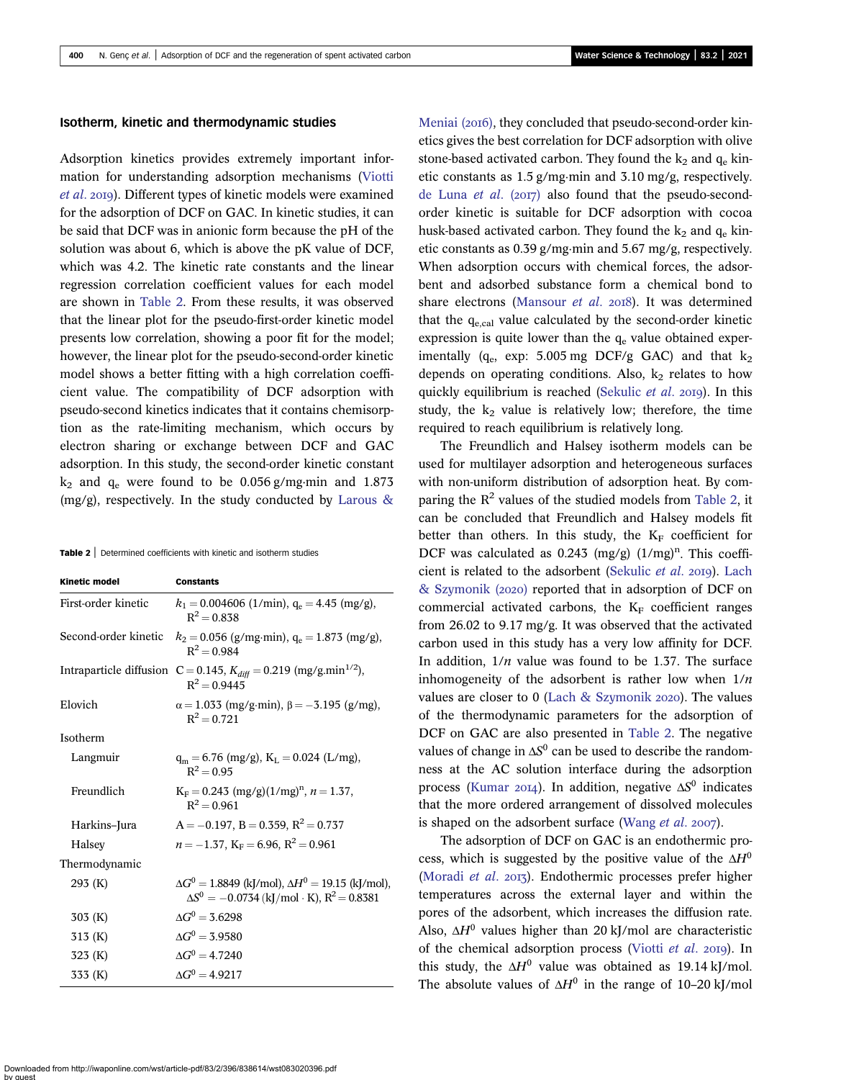#### Isotherm, kinetic and thermodynamic studies

Adsorption kinetics provides extremely important information for understanding adsorption mechanisms [\(Viotti](#page-12-0) [et al](#page-12-0). 2019). Different types of kinetic models were examined for the adsorption of DCF on GAC. In kinetic studies, it can be said that DCF was in anionic form because the pH of the solution was about 6, which is above the pK value of DCF, which was 4.2. The kinetic rate constants and the linear regression correlation coefficient values for each model are shown in Table 2. From these results, it was observed that the linear plot for the pseudo-first-order kinetic model presents low correlation, showing a poor fit for the model; however, the linear plot for the pseudo-second-order kinetic model shows a better fitting with a high correlation coefficient value. The compatibility of DCF adsorption with pseudo-second kinetics indicates that it contains chemisorption as the rate-limiting mechanism, which occurs by electron sharing or exchange between DCF and GAC adsorption. In this study, the second-order kinetic constant  $k_2$  and  $q_e$  were found to be 0.056 g/mg·min and 1.873 (mg/g), respectively. In the study conducted by [Larous &](#page-12-0)

|  | <b>Table 2</b> Determined coefficients with kinetic and isotherm studies |  |  |  |  |  |  |
|--|--------------------------------------------------------------------------|--|--|--|--|--|--|
|--|--------------------------------------------------------------------------|--|--|--|--|--|--|

| <b>Kinetic model</b> | <b>Constants</b>                                                                                                      |
|----------------------|-----------------------------------------------------------------------------------------------------------------------|
| First-order kinetic  | $k_1 = 0.004606$ (1/min), $q_e = 4.45$ (mg/g),<br>$R^2 = 0.838$                                                       |
| Second-order kinetic | $k_2 = 0.056$ (g/mg·min), q <sub>e</sub> = 1.873 (mg/g),<br>$R^2 = 0.984$                                             |
|                      | Intraparticle diffusion C = 0.145, $K_{diff}$ = 0.219 (mg/g.min <sup>1/2</sup> ),<br>$R^2 = 0.9445$                   |
| Elovich              | $\alpha = 1.033$ (mg/g·min), $\beta = -3.195$ (g/mg),<br>$R^2 = 0.721$                                                |
| Isotherm             |                                                                                                                       |
| Langmuir             | $q_m = 6.76$ (mg/g), $K_L = 0.024$ (L/mg),<br>$R^2 = 0.95$                                                            |
| Freundlich           | $K_F = 0.243$ (mg/g)(1/mg) <sup>n</sup> , $n = 1.37$ ,<br>$R^2 = 0.961$                                               |
| Harkins-Jura         | $A = -0.197$ , $B = 0.359$ , $R^2 = 0.737$                                                                            |
| Halsey               | $n = -1.37$ , K <sub>F</sub> = 6.96, R <sup>2</sup> = 0.961                                                           |
| Thermodynamic        |                                                                                                                       |
| 293(K)               | $\Delta G^0 = 1.8849$ (kJ/mol), $\Delta H^0 = 19.15$ (kJ/mol),<br>$\Delta S^0 = -0.0734$ (kJ/mol · K), $R^2 = 0.8381$ |
| 303(K)               | $\Delta G^0 = 3.6298$                                                                                                 |
| 313 (K)              | $\Delta G^0 = 3.9580$                                                                                                 |
| 323 (K)              | $\Delta G^0 = 4.7240$                                                                                                 |
| 333 (K)              | $\Delta G^0 = 4.9217$                                                                                                 |

[Meniai \(](#page-12-0)2016), they concluded that pseudo-second-order kinetics gives the best correlation for DCF adsorption with olive stone-based activated carbon. They found the  $k_2$  and  $q_e$  kinetic constants as 1.5 g/mg⋅min and 3.10 mg/g, respectively. [de Luna](#page-11-0) et al.  $(2017)$  also found that the pseudo-secondorder kinetic is suitable for DCF adsorption with cocoa husk-based activated carbon. They found the  $k_2$  and  $q_e$  kinetic constants as 0.39 g/mg⋅min and 5.67 mg/g, respectively. When adsorption occurs with chemical forces, the adsorbent and adsorbed substance form a chemical bond to share electrons [\(Mansour](#page-12-0) et al. 2018). It was determined that the  $q_{e, cal}$  value calculated by the second-order kinetic expression is quite lower than the  $q_e$  value obtained experimentally ( $q_e$ , exp: 5.005 mg DCF/g GAC) and that  $k_2$ depends on operating conditions. Also,  $k_2$  relates to how quickly equilibrium is reached [\(Sekulic](#page-12-0) et al. 2019). In this study, the  $k_2$  value is relatively low; therefore, the time required to reach equilibrium is relatively long.

The Freundlich and Halsey isotherm models can be used for multilayer adsorption and heterogeneous surfaces with non-uniform distribution of adsorption heat. By comparing the  $R^2$  values of the studied models from Table 2, it can be concluded that Freundlich and Halsey models fit better than others. In this study, the  $K_F$  coefficient for DCF was calculated as  $0.243 \, \text{(mg/g)} \, (1/\text{mg})^n$ . This coeffi-cient is related to the adsorbent [\(Sekulic](#page-12-0) *et al.* 2019). [Lach](#page-12-0)  $&$  Szymonik (2020) reported that in adsorption of DCF on commercial activated carbons, the  $K_F$  coefficient ranges from 26.02 to 9.17 mg/g. It was observed that the activated carbon used in this study has a very low affinity for DCF. In addition,  $1/n$  value was found to be 1.37. The surface inhomogeneity of the adsorbent is rather low when  $1/n$ values are closer to 0 (Lach  $&$  Szymonik 2020). The values of the thermodynamic parameters for the adsorption of DCF on GAC are also presented in Table 2. The negative values of change in  $\Delta S^0$  can be used to describe the randomness at the AC solution interface during the adsorption process [\(Kumar](#page-12-0) 2014). In addition, negative  $\Delta S^0$  indicates that the more ordered arrangement of dissolved molecules is shaped on the adsorbent surface ([Wang](#page-12-0)  $et$   $al.$  2007).

The adsorption of DCF on GAC is an endothermic process, which is suggested by the positive value of the  $\Delta H^0$ ([Moradi](#page-12-0) et al. 2013). Endothermic processes prefer higher temperatures across the external layer and within the pores of the adsorbent, which increases the diffusion rate. Also,  $\Delta H^0$  values higher than 20 kJ/mol are characteristic of the chemical adsorption process ([Viotti](#page-12-0) et al. 2019). In this study, the  $\Delta H^0$  value was obtained as 19.14 kJ/mol. The absolute values of  $\Delta H^0$  in the range of 10–20 kJ/mol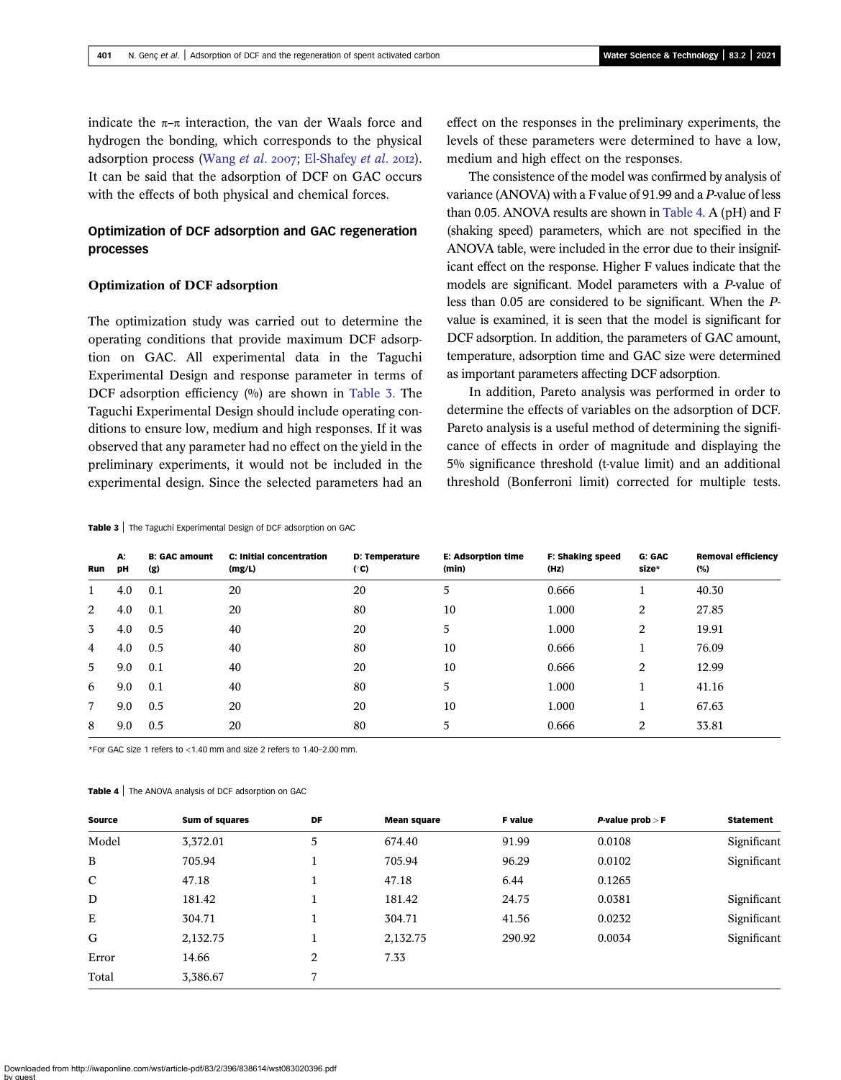indicate the  $\pi-\pi$  interaction, the van der Waals force and hydrogen the bonding, which corresponds to the physical adsorption process ([Wang](#page-12-0) et al. 2007; [El-Shafey](#page-11-0) et al. 2012). It can be said that the adsorption of DCF on GAC occurs with the effects of both physical and chemical forces.

### Optimization of DCF adsorption and GAC regeneration processes

#### Optimization of DCF adsorption

The optimization study was carried out to determine the operating conditions that provide maximum DCF adsorption on GAC. All experimental data in the Taguchi Experimental Design and response parameter in terms of DCF adsorption efficiency (%) are shown in Table 3. The Taguchi Experimental Design should include operating conditions to ensure low, medium and high responses. If it was observed that any parameter had no effect on the yield in the preliminary experiments, it would not be included in the experimental design. Since the selected parameters had an

#### Table 3 | The Taguchi Experimental Design of DCF adsorption on GAC

effect on the responses in the preliminary experiments, the levels of these parameters were determined to have a low, medium and high effect on the responses.

The consistence of the model was confirmed by analysis of variance (ANOVA) with a F value of 91.99 and a P-value of less than 0.05. ANOVA results are shown in Table 4. A (pH) and F (shaking speed) parameters, which are not specified in the ANOVA table, were included in the error due to their insignificant effect on the response. Higher F values indicate that the models are significant. Model parameters with a P-value of less than 0.05 are considered to be significant. When the Pvalue is examined, it is seen that the model is significant for DCF adsorption. In addition, the parameters of GAC amount, temperature, adsorption time and GAC size were determined as important parameters affecting DCF adsorption.

In addition, Pareto analysis was performed in order to determine the effects of variables on the adsorption of DCF. Pareto analysis is a useful method of determining the significance of effects in order of magnitude and displaying the 5% significance threshold (t-value limit) and an additional threshold (Bonferroni limit) corrected for multiple tests.

| Run | A:<br>pН | <b>B: GAC amount</b><br>(g) | <b>C: Initial concentration</b><br>(mg/L) | <b>D: Temperature</b><br>(°C) | <b>E: Adsorption time</b><br>(min) | <b>F: Shaking speed</b><br>(Hz) | G: GAC<br>size* | <b>Removal efficiency</b><br>(%) |
|-----|----------|-----------------------------|-------------------------------------------|-------------------------------|------------------------------------|---------------------------------|-----------------|----------------------------------|
|     | 4.0      | 0.1                         | 20                                        | 20                            | 5                                  | 0.666                           |                 | 40.30                            |
| 2   | 4.0      | 0.1                         | 20                                        | 80                            | 10                                 | 1.000                           | 2               | 27.85                            |
| 3   | 4.0      | 0.5                         | 40                                        | 20                            | 5                                  | 1.000                           | 2               | 19.91                            |
| 4   | 4.0      | 0.5                         | 40                                        | 80                            | 10                                 | 0.666                           |                 | 76.09                            |
| 5   | 9.0      | 0.1                         | 40                                        | 20                            | 10                                 | 0.666                           | 2               | 12.99                            |
| 6   | 9.0      | 0.1                         | 40                                        | 80                            | 5                                  | 1.000                           |                 | 41.16                            |
| 7   | 9.0      | 0.5                         | 20                                        | 20                            | 10                                 | 1.000                           |                 | 67.63                            |
| 8   | 9.0      | 0.5                         | 20                                        | 80                            | 5                                  | 0.666                           | 2               | 33.81                            |

\*For GAC size 1 refers to <1.40 mm and size 2 refers to 1.40–2.00 mm.

#### Table 4 | The ANOVA analysis of DCF adsorption on GAC

| <b>Source</b> | <b>Sum of squares</b> | DF | <b>Mean square</b> | <b>F</b> value | <b>P-value prob &gt; F</b> | <b>Statement</b> |
|---------------|-----------------------|----|--------------------|----------------|----------------------------|------------------|
| Model         | 3,372.01              | 5  | 674.40             | 91.99          | 0.0108                     | Significant      |
| B             | 705.94                |    | 705.94             | 96.29          | 0.0102                     | Significant      |
| $\mathbf C$   | 47.18                 |    | 47.18              | 6.44           | 0.1265                     |                  |
| D             | 181.42                |    | 181.42             | 24.75          | 0.0381                     | Significant      |
| E             | 304.71                |    | 304.71             | 41.56          | 0.0232                     | Significant      |
| G             | 2,132.75              |    | 2,132.75           | 290.92         | 0.0034                     | Significant      |
| Error         | 14.66                 | 2  | 7.33               |                |                            |                  |
| Total         | 3,386.67              | 7  |                    |                |                            |                  |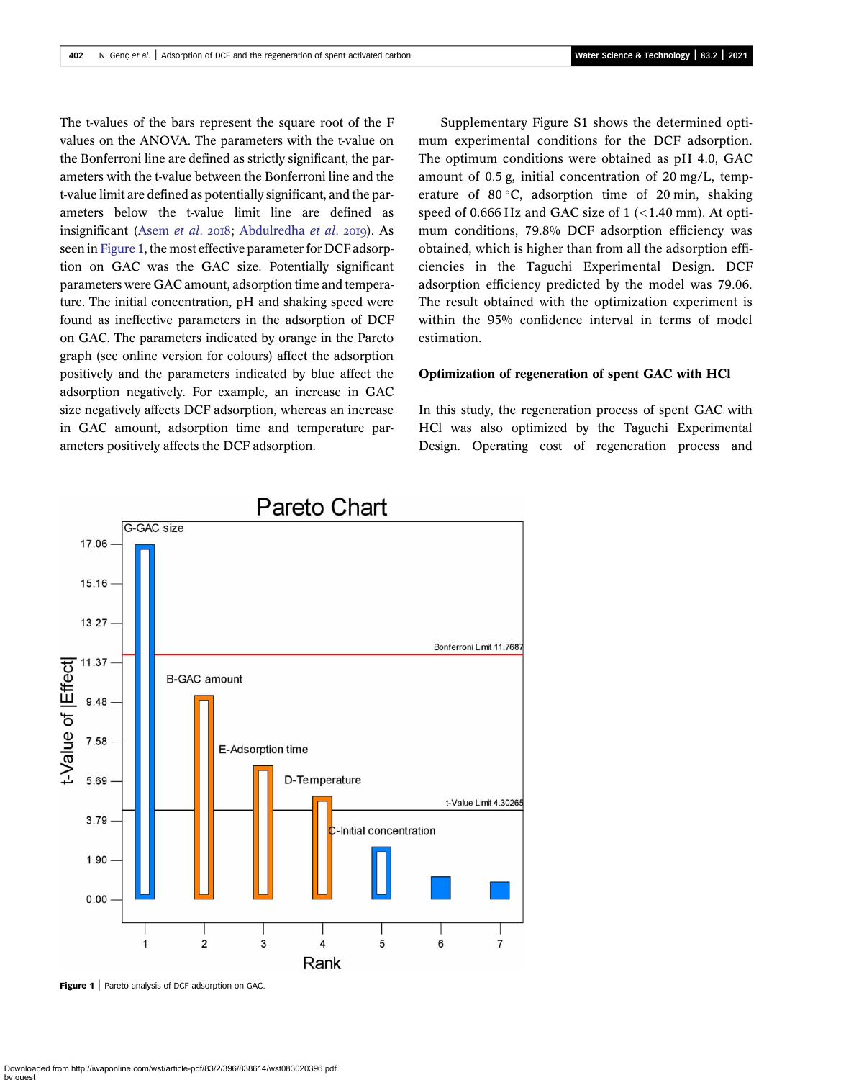The t-values of the bars represent the square root of the F values on the ANOVA. The parameters with the t-value on the Bonferroni line are defined as strictly significant, the parameters with the t-value between the Bonferroni line and the t-value limit are defined as potentially significant, and the parameters below the t-value limit line are defined as insignificant ([Asem](#page-11-0) et al.  $2018$ ; [Abdulredha](#page-11-0) et al.  $2019$ ). As seen in Figure 1, the most effective parameter for DCF adsorption on GAC was the GAC size. Potentially significant parameters were GAC amount, adsorption time and temperature. The initial concentration, pH and shaking speed were found as ineffective parameters in the adsorption of DCF on GAC. The parameters indicated by orange in the Pareto graph (see online version for colours) affect the adsorption positively and the parameters indicated by blue affect the adsorption negatively. For example, an increase in GAC size negatively affects DCF adsorption, whereas an increase in GAC amount, adsorption time and temperature parameters positively affects the DCF adsorption.

Supplementary Figure S1 shows the determined optimum experimental conditions for the DCF adsorption. The optimum conditions were obtained as pH 4.0, GAC amount of 0.5 g, initial concentration of 20 mg/L, temperature of 80 $\degree$ C, adsorption time of 20 min, shaking speed of 0.666 Hz and GAC size of  $1$  (<1.40 mm). At optimum conditions, 79.8% DCF adsorption efficiency was obtained, which is higher than from all the adsorption efficiencies in the Taguchi Experimental Design. DCF adsorption efficiency predicted by the model was 79.06. The result obtained with the optimization experiment is within the 95% confidence interval in terms of model estimation.

#### Optimization of regeneration of spent GAC with HCl

In this study, the regeneration process of spent GAC with HCl was also optimized by the Taguchi Experimental Design. Operating cost of regeneration process and



Figure 1 | Pareto analysis of DCF adsorption on GAC.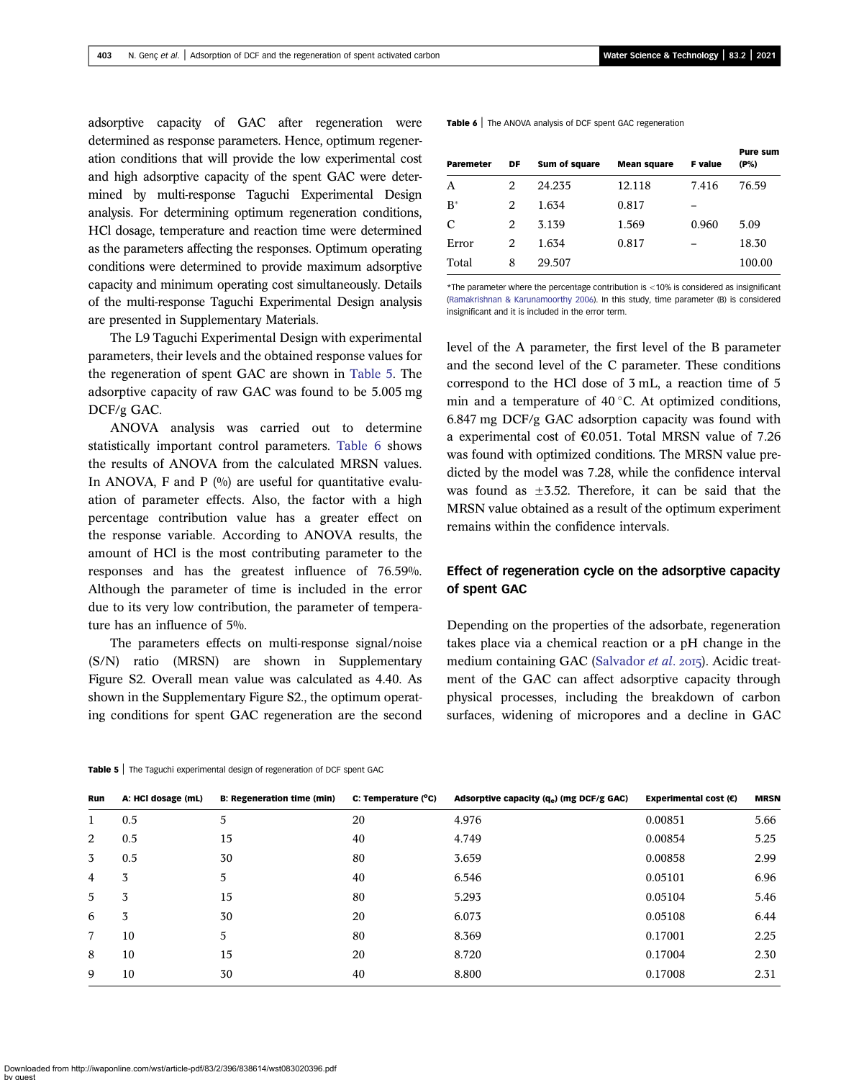adsorptive capacity of GAC after regeneration were determined as response parameters. Hence, optimum regeneration conditions that will provide the low experimental cost and high adsorptive capacity of the spent GAC were determined by multi-response Taguchi Experimental Design analysis. For determining optimum regeneration conditions, HCl dosage, temperature and reaction time were determined as the parameters affecting the responses. Optimum operating conditions were determined to provide maximum adsorptive capacity and minimum operating cost simultaneously. Details of the multi-response Taguchi Experimental Design analysis are presented in Supplementary Materials.

The L9 Taguchi Experimental Design with experimental parameters, their levels and the obtained response values for the regeneration of spent GAC are shown in Table 5. The adsorptive capacity of raw GAC was found to be 5.005 mg DCF/g GAC.

ANOVA analysis was carried out to determine statistically important control parameters. Table 6 shows the results of ANOVA from the calculated MRSN values. In ANOVA, F and P  $(%)$  are useful for quantitative evaluation of parameter effects. Also, the factor with a high percentage contribution value has a greater effect on the response variable. According to ANOVA results, the amount of HCl is the most contributing parameter to the responses and has the greatest influence of 76.59%. Although the parameter of time is included in the error due to its very low contribution, the parameter of temperature has an influence of 5%.

The parameters effects on multi-response signal/noise (S/N) ratio (MRSN) are shown in Supplementary Figure S2. Overall mean value was calculated as 4.40. As shown in the Supplementary Figure S2., the optimum operating conditions for spent GAC regeneration are the second Table 6 | The ANOVA analysis of DCF spent GAC regeneration

| <b>Paremeter</b> | DF | Sum of square | <b>Mean square</b> | <b>F</b> value | <b>Pure sum</b><br>(P%) |
|------------------|----|---------------|--------------------|----------------|-------------------------|
| A                | 2  | 24.235        | 12.118             | 7.416          | 76.59                   |
| $B^*$            | 2  | 1.634         | 0.817              |                |                         |
| C                | 2  | 3.139         | 1.569              | 0.960          | 5.09                    |
| Error            | 2  | 1.634         | 0.817              |                | 18.30                   |
| Total            | 8  | 29.507        |                    |                | 100.00                  |

\*The parameter where the percentage contribution is <10% is considered as insignificant ([Ramakrishnan & Karunamoorthy 2006](#page-12-0)). In this study, time parameter (B) is considered insignificant and it is included in the error term.

level of the A parameter, the first level of the B parameter and the second level of the C parameter. These conditions correspond to the HCl dose of 3 mL, a reaction time of 5 min and a temperature of  $40^{\circ}$ C. At optimized conditions, 6.847 mg DCF/g GAC adsorption capacity was found with a experimental cost of €0.051. Total MRSN value of 7.26 was found with optimized conditions. The MRSN value predicted by the model was 7.28, while the confidence interval was found as  $\pm 3.52$ . Therefore, it can be said that the MRSN value obtained as a result of the optimum experiment remains within the confidence intervals.

### Effect of regeneration cycle on the adsorptive capacity of spent GAC

Depending on the properties of the adsorbate, regeneration takes place via a chemical reaction or a pH change in the medium containing GAC ([Salvador](#page-12-0) et al. 2015). Acidic treatment of the GAC can affect adsorptive capacity through physical processes, including the breakdown of carbon surfaces, widening of micropores and a decline in GAC

|  | <b>Table 5</b> Trie Taguent experimental design of regeneration of DCF spent GAC. |  |
|--|-----------------------------------------------------------------------------------|--|
|  |                                                                                   |  |

Table 5 | The Taguchi experimental design of regeneration of DCF spent GAC

| Run | A: HCl dosage (mL) | <b>B: Regeneration time (min)</b> | C: Temperature (°C) | Adsorptive capacity $(q_e)$ (mg DCF/g GAC) | Experimental cost $(\epsilon)$ | <b>MRSN</b> |
|-----|--------------------|-----------------------------------|---------------------|--------------------------------------------|--------------------------------|-------------|
|     | 0.5                | 5                                 | 20                  | 4.976                                      | 0.00851                        | 5.66        |
| 2   | 0.5                | 15                                | 40                  | 4.749                                      | 0.00854                        | 5.25        |
| 3   | 0.5                | 30                                | 80                  | 3.659                                      | 0.00858                        | 2.99        |
| 4   | 3                  | 5                                 | 40                  | 6.546                                      | 0.05101                        | 6.96        |
| 5   | 3                  | 15                                | 80                  | 5.293                                      | 0.05104                        | 5.46        |
| 6   | 3                  | 30                                | 20                  | 6.073                                      | 0.05108                        | 6.44        |
| 7   | 10                 | 5                                 | 80                  | 8.369                                      | 0.17001                        | 2.25        |
| 8   | 10                 | 15                                | 20                  | 8.720                                      | 0.17004                        | 2.30        |
| 9   | 10                 | 30                                | 40                  | 8.800                                      | 0.17008                        | 2.31        |
|     |                    |                                   |                     |                                            |                                |             |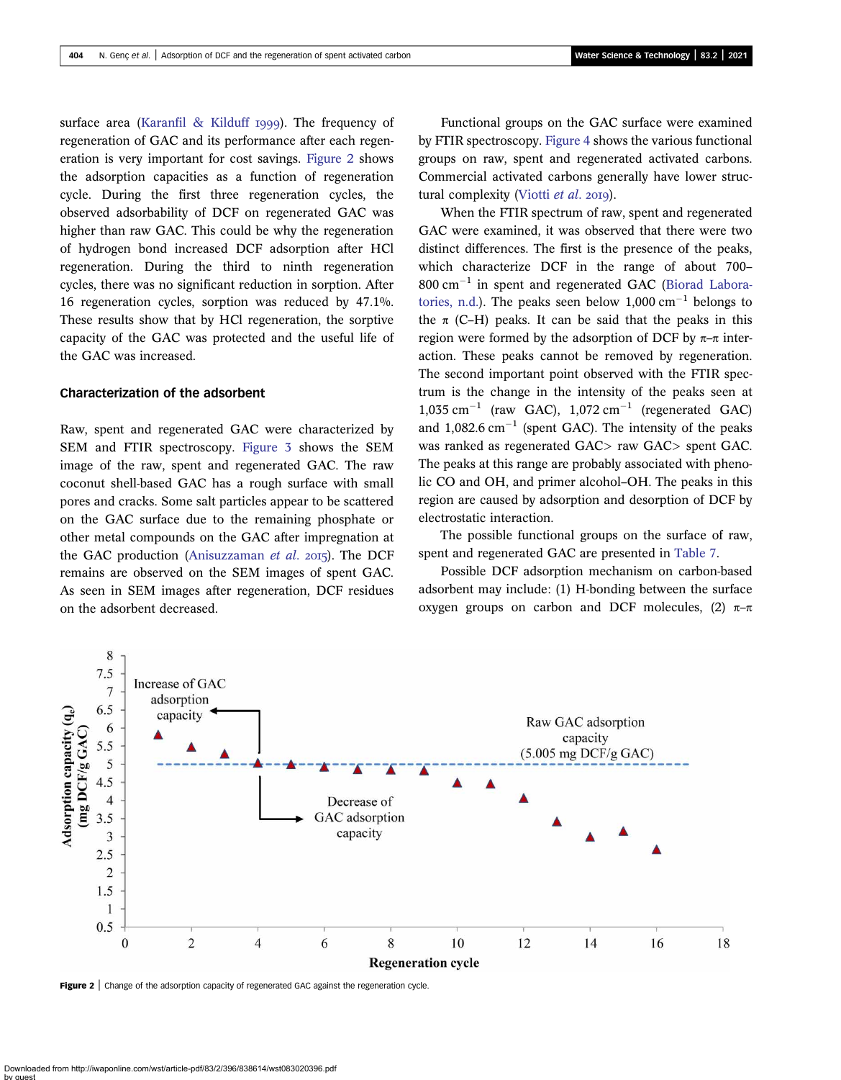surface area [\(Karanfil & Kilduff](#page-11-0) 1999). The frequency of regeneration of GAC and its performance after each regeneration is very important for cost savings. Figure 2 shows the adsorption capacities as a function of regeneration cycle. During the first three regeneration cycles, the observed adsorbability of DCF on regenerated GAC was higher than raw GAC. This could be why the regeneration of hydrogen bond increased DCF adsorption after HCl regeneration. During the third to ninth regeneration cycles, there was no significant reduction in sorption. After 16 regeneration cycles, sorption was reduced by 47.1%. These results show that by HCl regeneration, the sorptive capacity of the GAC was protected and the useful life of the GAC was increased.

#### Characterization of the adsorbent

Raw, spent and regenerated GAC were characterized by SEM and FTIR spectroscopy. [Figure 3](#page-9-0) shows the SEM image of the raw, spent and regenerated GAC. The raw coconut shell-based GAC has a rough surface with small pores and cracks. Some salt particles appear to be scattered on the GAC surface due to the remaining phosphate or other metal compounds on the GAC after impregnation at the GAC production ([Anisuzzaman](#page-11-0) et al. 2015). The DCF remains are observed on the SEM images of spent GAC. As seen in SEM images after regeneration, DCF residues on the adsorbent decreased.

Functional groups on the GAC surface were examined by FTIR spectroscopy. [Figure 4](#page-9-0) shows the various functional groups on raw, spent and regenerated activated carbons. Commercial activated carbons generally have lower struc-tural complexity ([Viotti](#page-12-0) et al. 2019).

When the FTIR spectrum of raw, spent and regenerated GAC were examined, it was observed that there were two distinct differences. The first is the presence of the peaks, which characterize DCF in the range of about 700–  $800 \text{ cm}^{-1}$  in spent and regenerated GAC ([Biorad Labora](#page-11-0)[tories, n.d.](#page-11-0)). The peaks seen below  $1.000 \text{ cm}^{-1}$  belongs to the  $\pi$  (C–H) peaks. It can be said that the peaks in this region were formed by the adsorption of DCF by  $\pi-\pi$  interaction. These peaks cannot be removed by regeneration. The second important point observed with the FTIR spectrum is the change in the intensity of the peaks seen at  $1,035$  cm<sup>-1</sup> (raw GAC),  $1,072$  cm<sup>-1</sup> (regenerated GAC) and  $1,082.6$  cm<sup>-1</sup> (spent GAC). The intensity of the peaks was ranked as regenerated GAC> raw GAC> spent GAC. The peaks at this range are probably associated with phenolic CO and OH, and primer alcohol–OH. The peaks in this region are caused by adsorption and desorption of DCF by electrostatic interaction.

The possible functional groups on the surface of raw, spent and regenerated GAC are presented in [Table 7](#page-10-0).

Possible DCF adsorption mechanism on carbon-based adsorbent may include: (1) H-bonding between the surface oxygen groups on carbon and DCF molecules, (2)  $π$ -π



Figure 2 | Change of the adsorption capacity of regenerated GAC against the regeneration cycle.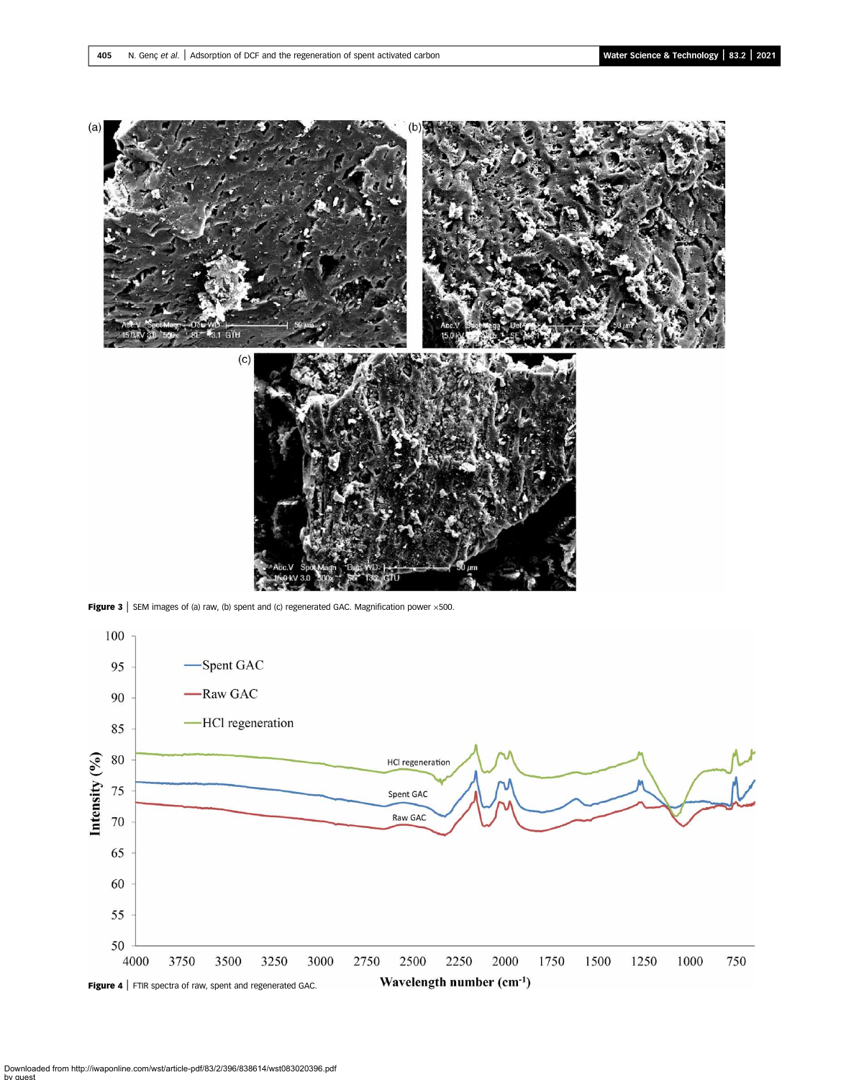<span id="page-9-0"></span>

**Figure 3** | SEM images of (a) raw, (b) spent and (c) regenerated GAC. Magnification power  $\times$  500.



Downloaded from http://iwaponline.com/wst/article-pdf/83/2/396/838614/wst083020396.pdf by guest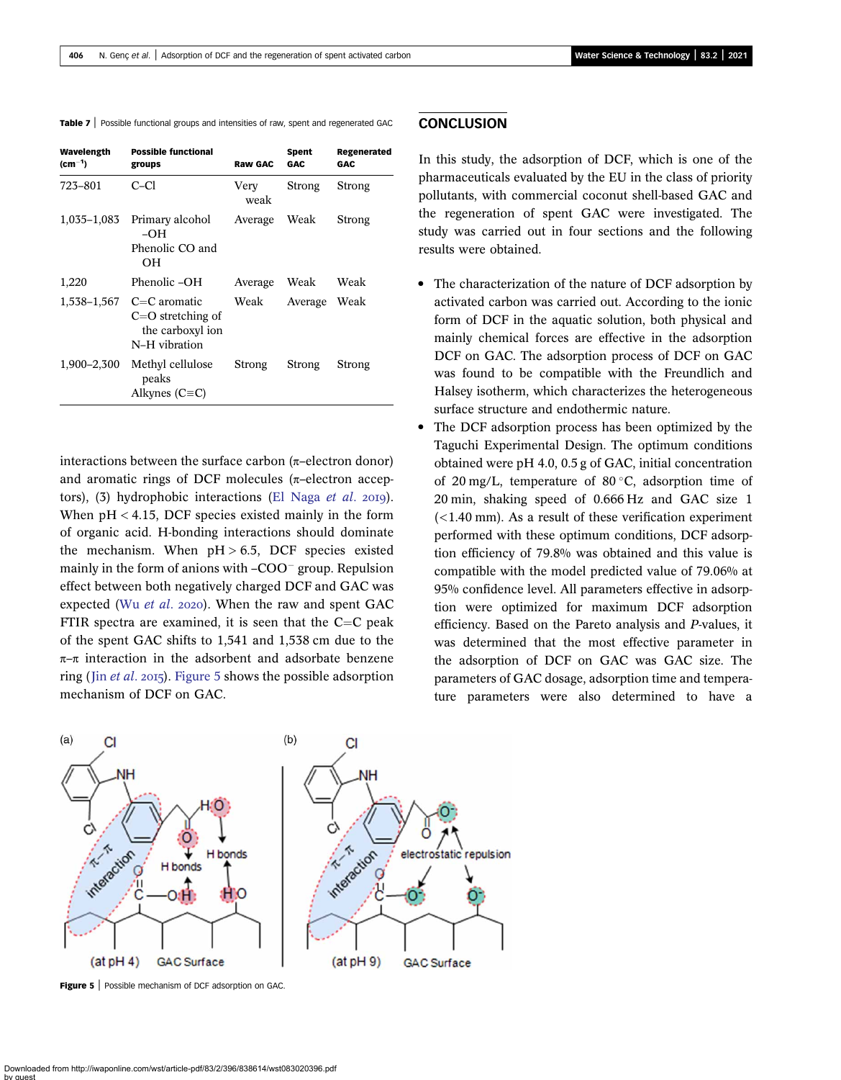<span id="page-10-0"></span>

| <b>Table 7</b> Possible functional groups and intensities of raw, spent and regenerated GAC |  |
|---------------------------------------------------------------------------------------------|--|
|---------------------------------------------------------------------------------------------|--|

| Wavelength<br>$\text{(cm}^{-1}$ | <b>Possible functional</b><br>groups                                                   | <b>Raw GAC</b> | Spent<br>GAC. | Regenerated<br>GAC. |
|---------------------------------|----------------------------------------------------------------------------------------|----------------|---------------|---------------------|
| 723–801                         | C-Cl                                                                                   | Very<br>weak   | Strong        | Strong              |
| 1,035–1,083                     | Primary alcohol<br>$-OH$<br>Phenolic CO and<br>OН                                      | Average        | Weak          | Strong              |
| 1,220                           | Phenolic-OH                                                                            | Average        | Weak          | Weak                |
|                                 | 1,538–1,567 $C=C$ aromatic<br>$C=O$ stretching of<br>the carboxyl ion<br>N-H vibration | Weak           | Average       | Weak                |
| 1,900–2,300                     | Methyl cellulose<br>peaks<br>Alkynes ( $C \equiv C$ )                                  | Strong         | Strong        | Strong              |

interactions between the surface carbon  $(π$ -electron donor) and aromatic rings of DCF molecules ( $\pi$ –electron acceptors),  $(3)$  hydrophobic interactions [\(El Naga](#page-11-0) et al. 2019). When  $pH < 4.15$ , DCF species existed mainly in the form of organic acid. H-bonding interactions should dominate the mechanism. When  $pH > 6.5$ , DCF species existed mainly in the form of anions with  $-COO^-$  group. Repulsion effect between both negatively charged DCF and GAC was expected (Wu [et al](#page-12-0). 2020). When the raw and spent GAC FTIR spectra are examined, it is seen that the  $C=C$  peak of the spent GAC shifts to 1,541 and 1,538 cm due to the  $\pi$ –π interaction in the adsorbent and adsorbate benzene ring (Jin *[et al](#page-11-0).* 2015). Figure 5 shows the possible adsorption mechanism of DCF on GAC.

### **CONCLUSION**

In this study, the adsorption of DCF, which is one of the pharmaceuticals evaluated by the EU in the class of priority pollutants, with commercial coconut shell-based GAC and the regeneration of spent GAC were investigated. The study was carried out in four sections and the following results were obtained.

- The characterization of the nature of DCF adsorption by activated carbon was carried out. According to the ionic form of DCF in the aquatic solution, both physical and mainly chemical forces are effective in the adsorption DCF on GAC. The adsorption process of DCF on GAC was found to be compatible with the Freundlich and Halsey isotherm, which characterizes the heterogeneous surface structure and endothermic nature.
- The DCF adsorption process has been optimized by the Taguchi Experimental Design. The optimum conditions obtained were pH 4.0, 0.5 g of GAC, initial concentration of 20 mg/L, temperature of 80 °C, adsorption time of 20 min, shaking speed of 0.666 Hz and GAC size 1  $(<$ 1.40 mm). As a result of these verification experiment performed with these optimum conditions, DCF adsorption efficiency of 79.8% was obtained and this value is compatible with the model predicted value of 79.06% at 95% confidence level. All parameters effective in adsorption were optimized for maximum DCF adsorption efficiency. Based on the Pareto analysis and P-values, it was determined that the most effective parameter in the adsorption of DCF on GAC was GAC size. The parameters of GAC dosage, adsorption time and temperature parameters were also determined to have a



Figure 5 | Possible mechanism of DCF adsorption on GAC.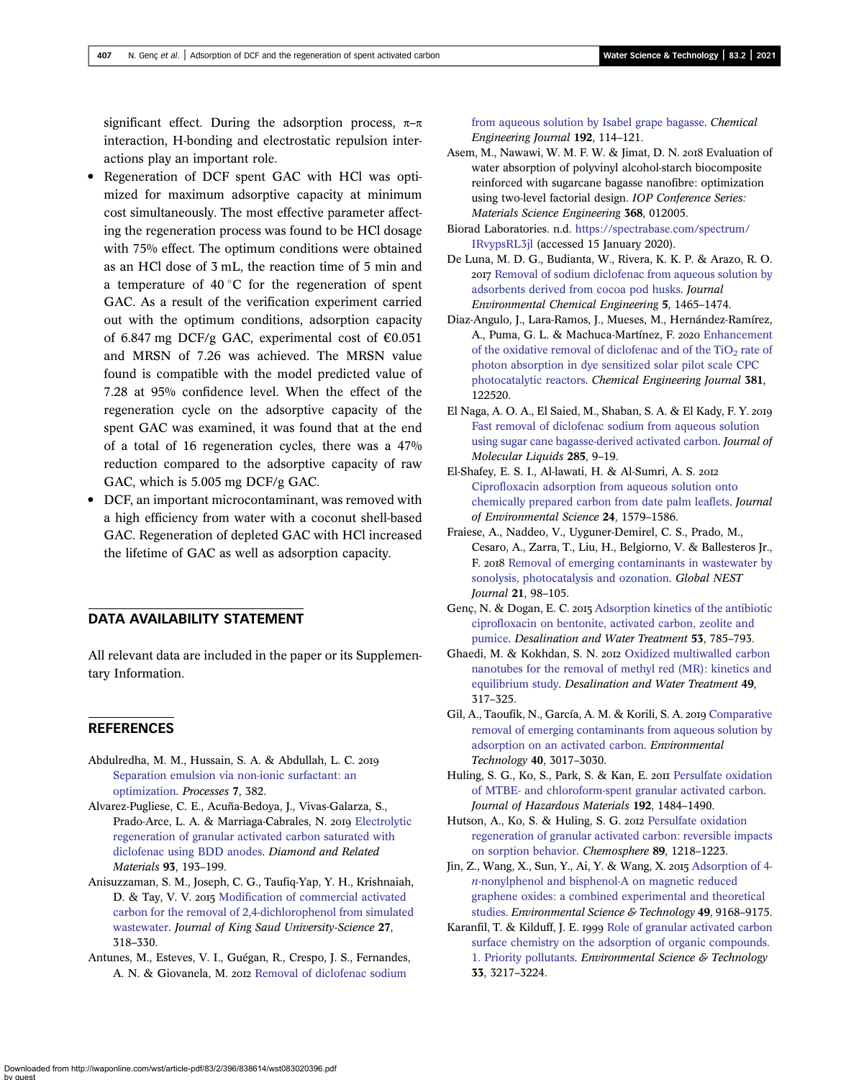<span id="page-11-0"></span>significant effect. During the adsorption process,  $\pi-\pi$ interaction, H-bonding and electrostatic repulsion interactions play an important role.

- Regeneration of DCF spent GAC with HCl was optimized for maximum adsorptive capacity at minimum cost simultaneously. The most effective parameter affecting the regeneration process was found to be HCl dosage with 75% effect. The optimum conditions were obtained as an HCl dose of 3 mL, the reaction time of 5 min and a temperature of  $40^{\circ}$ C for the regeneration of spent GAC. As a result of the verification experiment carried out with the optimum conditions, adsorption capacity of 6.847 mg DCF/g GAC, experimental cost of  $\epsilon$ 0.051 and MRSN of 7.26 was achieved. The MRSN value found is compatible with the model predicted value of 7.28 at 95% confidence level. When the effect of the regeneration cycle on the adsorptive capacity of the spent GAC was examined, it was found that at the end of a total of 16 regeneration cycles, there was a 47% reduction compared to the adsorptive capacity of raw GAC, which is 5.005 mg DCF/g GAC.
- DCF, an important microcontaminant, was removed with a high efficiency from water with a coconut shell-based GAC. Regeneration of depleted GAC with HCl increased the lifetime of GAC as well as adsorption capacity.

### DATA AVAILABILITY STATEMENT

All relevant data are included in the paper or its Supplementary Information.

### **REFERENCES**

- Abdulredha, M. M., Hussain, S. A. & Abdullah, L. C. [Separation emulsion via non-ionic surfactant: an](http://dx.doi.org/10.3390/pr7060382) [optimization.](http://dx.doi.org/10.3390/pr7060382) Processes 7, 382.
- Alvarez-Pugliese, C. E., Acuña-Bedoya, J., Vivas-Galarza, S., Prado-Arce, L. A. & Marriaga-Cabrales, N. 2019 [Electrolytic](http://dx.doi.org/10.1016/j.diamond.2019.02.018) [regeneration of granular activated carbon saturated with](http://dx.doi.org/10.1016/j.diamond.2019.02.018) [diclofenac using BDD anodes](http://dx.doi.org/10.1016/j.diamond.2019.02.018). Diamond and Related Materials 93, 193–199.
- Anisuzzaman, S. M., Joseph, C. G., Taufiq-Yap, Y. H., Krishnaiah, D. & Tay, V. V. 2015 [Modification of commercial activated](http://dx.doi.org/10.1016/j.jksus.2015.01.002) [carbon for the removal of 2,4-dichlorophenol from simulated](http://dx.doi.org/10.1016/j.jksus.2015.01.002) [wastewater](http://dx.doi.org/10.1016/j.jksus.2015.01.002). Journal of King Saud University-Science 27, 318–330.
- Antunes, M., Esteves, V. I., Guégan, R., Crespo, J. S., Fernandes, A. N. & Giovanela, M. 2012 [Removal of diclofenac sodium](http://dx.doi.org/10.1016/j.cej.2012.03.062)

[from aqueous solution by Isabel grape bagasse.](http://dx.doi.org/10.1016/j.cej.2012.03.062) Chemical Engineering Journal 192, 114–121.

- Asem, M., Nawawi, W. M. F. W. & Jimat, D. N. 2018 Evaluation of water absorption of polyvinyl alcohol-starch biocomposite reinforced with sugarcane bagasse nanofibre: optimization using two-level factorial design. IOP Conference Series: Materials Science Engineering 368, 012005.
- Biorad Laboratories. n.d. [https://spectrabase.com/spectrum/](https://spectrabase.com/spectrum/IRvypsRL3jl) [IRvypsRL3jl](https://spectrabase.com/spectrum/IRvypsRL3jl) (accessed 15 January 2020).
- De Luna, M. D. G., Budianta, W., Rivera, K. K. P. & Arazo, R. O. 2017 [Removal of sodium diclofenac from aqueous solution by](http://dx.doi.org/10.1016/j.jece.2017.02.018) [adsorbents derived from cocoa pod husks](http://dx.doi.org/10.1016/j.jece.2017.02.018). Journal Environmental Chemical Engineering 5, 1465–1474.
- Diaz-Angulo, J., Lara-Ramos, J., Mueses, M., Hernández-Ramírez, A., Puma, G. L. & Machuca-Martínez, F. 2020 [Enhancement](http://dx.doi.org/10.1016/j.cej.2019.122520) of the oxidative removal of diclofenac and of the  $TiO<sub>2</sub>$  [rate of](http://dx.doi.org/10.1016/j.cej.2019.122520) [photon absorption in dye sensitized solar pilot scale CPC](http://dx.doi.org/10.1016/j.cej.2019.122520) [photocatalytic reactors](http://dx.doi.org/10.1016/j.cej.2019.122520). Chemical Engineering Journal 381, 122520.
- El Naga, A. O. A., El Saied, M., Shaban, S. A. & El Kady, F. Y. [Fast removal of diclofenac sodium from aqueous solution](http://dx.doi.org/10.1016/j.molliq.2019.04.062) [using sugar cane bagasse-derived activated carbon](http://dx.doi.org/10.1016/j.molliq.2019.04.062). Journal of Molecular Liquids 285, 9–19.
- El-Shafey, E. S. I., Al-lawati, H. & Al-Sumri, A. S. [Ciprofloxacin adsorption from aqueous solution onto](http://dx.doi.org/10.1016/S1001-0742(11)60949-2) [chemically prepared carbon from date palm leaflets.](http://dx.doi.org/10.1016/S1001-0742(11)60949-2) Journal of Environmental Science 24, 1579–1586.
- Fraiese, A., Naddeo, V., Uyguner-Demirel, C. S., Prado, M., Cesaro, A., Zarra, T., Liu, H., Belgiorno, V. & Ballesteros Jr., F. 2018 [Removal of emerging contaminants in wastewater by](http://dx.doi.org/10.30955/gnj.002625) [sonolysis, photocatalysis and ozonation](http://dx.doi.org/10.30955/gnj.002625). Global NEST Journal 21, 98–105.
- Genç, N. & Dogan, E. C. 2015 [Adsorption kinetics of the antibiotic](http://dx.doi.org/10.1080/19443994.2013.842504) [ciprofloxacin on bentonite, activated carbon, zeolite and](http://dx.doi.org/10.1080/19443994.2013.842504) [pumice](http://dx.doi.org/10.1080/19443994.2013.842504). Desalination and Water Treatment 53, 785–793.
- Ghaedi, M. & Kokhdan, S. N. 2012 [Oxidized multiwalled carbon](http://dx.doi.org/10.1080/19443994.2012.719355) [nanotubes for the removal of methyl red \(MR\): kinetics and](http://dx.doi.org/10.1080/19443994.2012.719355) [equilibrium study.](http://dx.doi.org/10.1080/19443994.2012.719355) Desalination and Water Treatment 49, 317–325.
- Gil, A., Taoufik, N., García, A. M. & Korili, S. A. 2019 [Comparative](http://dx.doi.org/10.1080/09593330.2018.1464066) [removal of emerging contaminants from aqueous solution by](http://dx.doi.org/10.1080/09593330.2018.1464066) [adsorption on an activated carbon.](http://dx.doi.org/10.1080/09593330.2018.1464066) Environmental Technology 40, 3017–3030.
- Huling, S. G., Ko, S., Park, S. & Kan, E. 2011 [Persulfate oxidation](http://dx.doi.org/10.1016/j.jhazmat.2011.06.070) [of MTBE- and chloroform-spent granular activated carbon](http://dx.doi.org/10.1016/j.jhazmat.2011.06.070). Journal of Hazardous Materials 192, 1484–1490.
- Hutson, A., Ko, S. & Huling, S. G. 2012 [Persulfate oxidation](http://dx.doi.org/10.1016/j.chemosphere.2012.07.040) [regeneration of granular activated carbon: reversible impacts](http://dx.doi.org/10.1016/j.chemosphere.2012.07.040) [on sorption behavior.](http://dx.doi.org/10.1016/j.chemosphere.2012.07.040) Chemosphere 89, 1218–1223.
- Jin, Z., Wang, X., Sun, Y., Ai, Y. & Wang, X. 2015 [Adsorption of 4](http://dx.doi.org/10.1021/acs.est.5b02022) n[-nonylphenol and bisphenol-A on magnetic reduced](http://dx.doi.org/10.1021/acs.est.5b02022) [graphene oxides: a combined experimental and theoretical](http://dx.doi.org/10.1021/acs.est.5b02022) [studies.](http://dx.doi.org/10.1021/acs.est.5b02022) Environmental Science & Technology 49, 9168-9175.
- Karanfil, T. & Kilduff, J. E. 1999 [Role of granular activated carbon](http://dx.doi.org/10.1021/es981016g) [surface chemistry on the adsorption of organic compounds.](http://dx.doi.org/10.1021/es981016g) [1. Priority pollutants.](http://dx.doi.org/10.1021/es981016g) Environmental Science & Technology 33, 3217–3224.